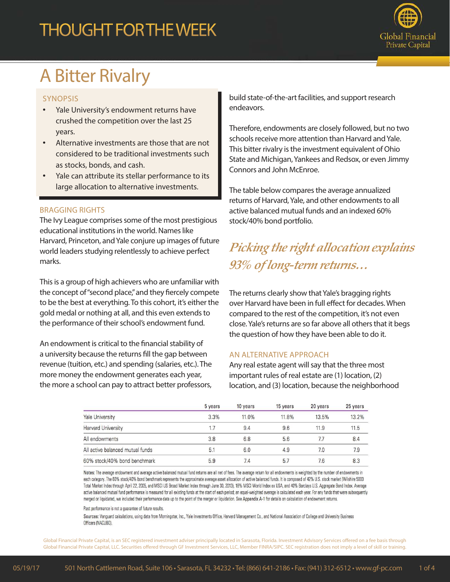## **THOUGHT FOR THE WEEK**



# A Bitter Rivalry

### SYNOPSIS

- Yale University's endowment returns have crushed the competition over the last 25 years.
- Alternative investments are those that are not considered to be traditional investments such as stocks, bonds, and cash.
- Yale can attribute its stellar performance to its large allocation to alternative investments.

### BRAGGING RIGHTS

The Ivy League comprises some of the most prestigious educational institutions in the world. Names like Harvard, Princeton, and Yale conjure up images of future world leaders studying relentlessly to achieve perfect marks.

This is a group of high achievers who are unfamiliar with the concept of "second place," and they fiercely compete to be the best at everything. To this cohort, it's either the gold medal or nothing at all, and this even extends to the performance of their school's endowment fund.

An endowment is critical to the financial stability of a university because the returns fill the gap between revenue (tuition, etc.) and spending (salaries, etc.). The more money the endowment generates each year, the more a school can pay to attract better professors, build state-of-the-art facilities, and support research endeavors.

Therefore, endowments are closely followed, but no two schools receive more attention than Harvard and Yale. This bitter rivalry is the investment equivalent of Ohio State and Michigan, Yankees and Redsox, or even Jimmy Connors and John McEnroe.

The table below compares the average annualized returns of Harvard, Yale, and other endowments to all active balanced mutual funds and an indexed 60% stock/40% bond portfolio.

## *Picking the right allocation explains 93% of long-term returns…*

The returns clearly show that Yale's bragging rights over Harvard have been in full effect for decades. When compared to the rest of the competition, it's not even close. Yale's returns are so far above all others that it begs the question of how they have been able to do it.

### AN ALTERNATIVE APPROACH

Any real estate agent will say that the three most important rules of real estate are (1) location, (2) location, and (3) location, because the neighborhood

|                                  | 5 years | 10 years | 15 years | 20 years | 25 years |
|----------------------------------|---------|----------|----------|----------|----------|
| Yale University                  | 3.3%    | 11.0%    | 11.8%    | 13.5%    | 13.2%    |
| Harvard University               | 1.7     | 9.4      | 9.6      | 11.9     | 11.5     |
| All endowments                   | 3.8     | 6.8      | 5.6      | 7.7      | 8.4      |
| All active balanced mutual funds | 5.1     | 6.0      | 4.9      | 7.0      | 7.9      |
| 60% stock/40% bond benchmark     | 5.9     | 7.4      | 5.7      | 7.6      | 8.3      |

Notes: The average endowment and average active balanced mutual fund returns are all net of fees. The average return for all endowments is weighted by the number of endowments in each category. The 60% stock/40% bond benchmark represents the approximate average asset allocation of active balanced funds. It is composed of 42% U.S. stock market (Wilshire 5000 Total Market Index through April 22, 2005, and MSCI US Broad Market Index through June 30, 2013), 18% MSCI World Index ex USA, and 40% Barclays U.S. Aggregate Bond Index. Average active balanced mutual fund performance is measured for all existing funds at the start of each period; an equal-weighted average is calculated each year. For any funds that were subsequently merged or liquidated, we included their performance data up to the point of the merger or liquidation. See Appendix A-1 for details on calculation of endowment returns.

Past performance is not a guarantee of future results.

Sources: Vanguard calculations, using data from Morningstar, Inc., Yale Investments Office, Harvard Management Co., and National Association of College and University Business Officers (NACUBO).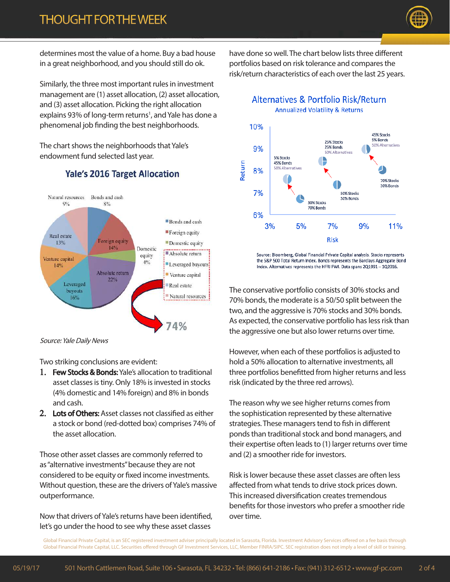

determines most the value of a home. Buy a bad house in a great neighborhood, and you should still do ok.

Similarly, the three most important rules in investment management are (1) asset allocation, (2) asset allocation, and (3) asset allocation. Picking the right allocation explains 93% of long-term returns<sup>1</sup>, and Yale has done a phenomenal job finding the best neighborhoods.

The chart shows the neighborhoods that Yale's endowment fund selected last year.

### **Yale's 2016 Target Allocation**



Source: Yale Daily News

Two striking conclusions are evident:

- 1. Few Stocks & Bonds: Yale's allocation to traditional asset classes is tiny. Only 18% is invested in stocks (4% domestic and 14% foreign) and 8% in bonds and cash.
- 2. Lots of Others: Asset classes not classified as either a stock or bond (red-dotted box) comprises 74% of the asset allocation.

Those other asset classes are commonly referred to as "alternative investments" because they are not considered to be equity or fixed income investments. Without question, these are the drivers of Yale's massive outperformance.

Now that drivers of Yale's returns have been identified, let's go under the hood to see why these asset classes

have done so well. The chart below lists three different portfolios based on risk tolerance and compares the risk/return characteristics of each over the last 25 years.

Alternatives & Portfolio Risk/Return **Annualized Volatility & Returns** 



Source: Bloomberg, Global Financial Private Capital analysis. Stocks represents the S&P 500 Total Return Index. Bonds represents the Barclays Aggregate Bond Index. Alternatives represents the HFRI FWI. Data spans 2Q1991 - 1Q2016.

The conservative portfolio consists of 30% stocks and 70% bonds, the moderate is a 50/50 split between the two, and the aggressive is 70% stocks and 30% bonds. As expected, the conservative portfolio has less risk than the aggressive one but also lower returns over time.

However, when each of these portfolios is adjusted to hold a 50% allocation to alternative investments, all three portfolios benefitted from higher returns and less risk (indicated by the three red arrows).

The reason why we see higher returns comes from the sophistication represented by these alternative strategies. These managers tend to fish in different ponds than traditional stock and bond managers, and their expertise often leads to (1) larger returns over time and (2) a smoother ride for investors.

Risk is lower because these asset classes are often less affected from what tends to drive stock prices down. This increased diversification creates tremendous benefits for those investors who prefer a smoother ride over time.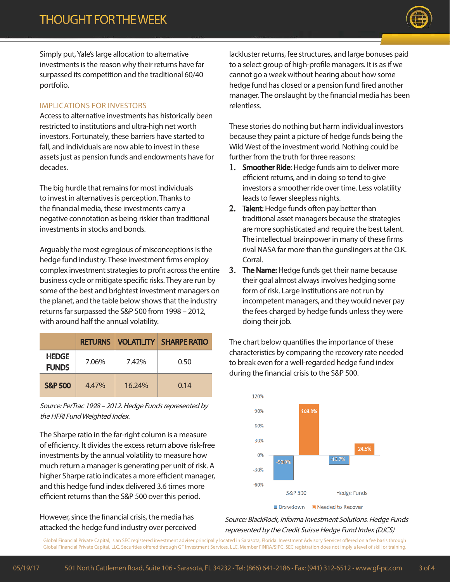

Simply put, Yale's large allocation to alternative investments is the reason why their returns have far surpassed its competition and the traditional 60/40 portfolio.

#### IMPLICATIONS FOR INVESTORS

Access to alternative investments has historically been restricted to institutions and ultra-high net worth investors. Fortunately, these barriers have started to fall, and individuals are now able to invest in these assets just as pension funds and endowments have for decades.

The big hurdle that remains for most individuals to invest in alternatives is perception. Thanks to the financial media, these investments carry a negative connotation as being riskier than traditional investments in stocks and bonds.

Arguably the most egregious of misconceptions is the hedge fund industry. These investment firms employ complex investment strategies to profit across the entire business cycle or mitigate specific risks. They are run by some of the best and brightest investment managers on the planet, and the table below shows that the industry returns far surpassed the S&P 500 from 1998 – 2012, with around half the annual volatility.

|                              | <b>RETURNS</b> |        | I VOLATILITY I SHARPE RATIO |
|------------------------------|----------------|--------|-----------------------------|
| <b>HEDGE</b><br><b>FUNDS</b> | 7.06%          | 7.42%  | 0.50                        |
| <b>S&amp;P 500</b>           | 4.47%          | 16.24% | 0.14                        |

Source: PerTrac 1998 – 2012. Hedge Funds represented by the HFRI Fund Weighted Index.

The Sharpe ratio in the far-right column is a measure of efficiency. It divides the excess return above risk-free investments by the annual volatility to measure how much return a manager is generating per unit of risk. A higher Sharpe ratio indicates a more efficient manager, and this hedge fund index delivered 3.6 times more efficient returns than the S&P 500 over this period.

However, since the financial crisis, the media has attacked the hedge fund industry over perceived lackluster returns, fee structures, and large bonuses paid to a select group of high-profile managers. It is as if we cannot go a week without hearing about how some hedge fund has closed or a pension fund fired another manager. The onslaught by the financial media has been relentless.

These stories do nothing but harm individual investors because they paint a picture of hedge funds being the Wild West of the investment world. Nothing could be further from the truth for three reasons:

- 1. Smoother Ride: Hedge funds aim to deliver more efficient returns, and in doing so tend to give investors a smoother ride over time. Less volatility leads to fewer sleepless nights.
- 2. Talent: Hedge funds often pay better than traditional asset managers because the strategies are more sophisticated and require the best talent. The intellectual brainpower in many of these firms rival NASA far more than the gunslingers at the O.K. Corral.
- 3. The Name: Hedge funds get their name because their goal almost always involves hedging some form of risk. Large institutions are not run by incompetent managers, and they would never pay the fees charged by hedge funds unless they were doing their job.

The chart below quantifies the importance of these characteristics by comparing the recovery rate needed to break even for a well-regarded hedge fund index during the financial crisis to the S&P 500.



Source: BlackRock, Informa Investment Solutions. Hedge Funds represented by the Credit Suisse Hedge Fund Index (DJCS)